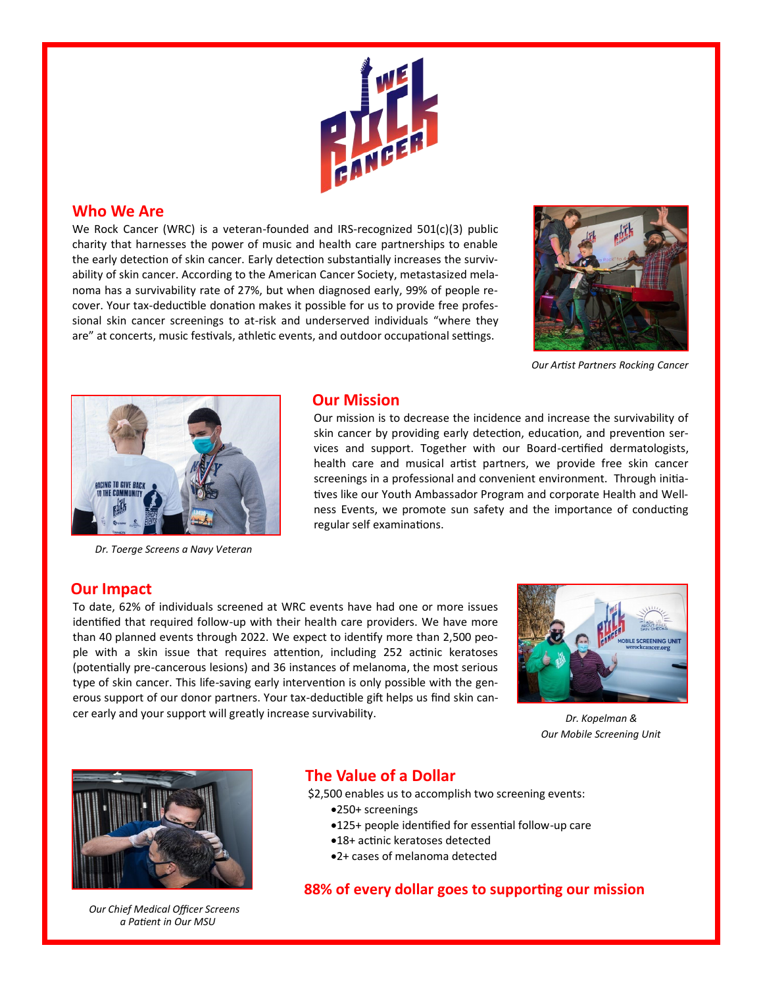

### **Who We Are**

We Rock Cancer (WRC) is a veteran-founded and IRS-recognized 501(c)(3) public charity that harnesses the power of music and health care partnerships to enable the early detection of skin cancer. Early detection substantially increases the survivability of skin cancer. According to the American Cancer Society, metastasized melanoma has a survivability rate of 27%, but when diagnosed early, 99% of people recover. Your tax-deductible donation makes it possible for us to provide free professional skin cancer screenings to at-risk and underserved individuals "where they are" at concerts, music festivals, athletic events, and outdoor occupational settings.



*Our Artist Partners Rocking Cancer*



*Dr. Toerge Screens a Navy Veteran*

#### **Our Mission**

Our mission is to decrease the incidence and increase the survivability of skin cancer by providing early detection, education, and prevention services and support. Together with our Board-certified dermatologists, health care and musical artist partners, we provide free skin cancer screenings in a professional and convenient environment. Through initiatives like our Youth Ambassador Program and corporate Health and Wellness Events, we promote sun safety and the importance of conducting regular self examinations.

#### **Our Impact**

To date, 62% of individuals screened at WRC events have had one or more issues identified that required follow-up with their health care providers. We have more than 40 planned events through 2022. We expect to identify more than 2,500 people with a skin issue that requires attention, including 252 actinic keratoses (potentially pre-cancerous lesions) and 36 instances of melanoma, the most serious type of skin cancer. This life-saving early intervention is only possible with the generous support of our donor partners. Your tax-deductible gift helps us find skin cancer early and your support will greatly increase survivability.



*Our Mobile Screening Unit Dr. Kopelman &* 



*a Patient in Our MSU Our Chief Medical Officer Screens* 

# **The Value of a Dollar**

\$2,500 enables us to accomplish two screening events:

- •250+ screenings
	- •125+ people identified for essential follow-up care
	- •18+ actinic keratoses detected
- •2+ cases of melanoma detected

## **88% of every dollar goes to supporting our mission**